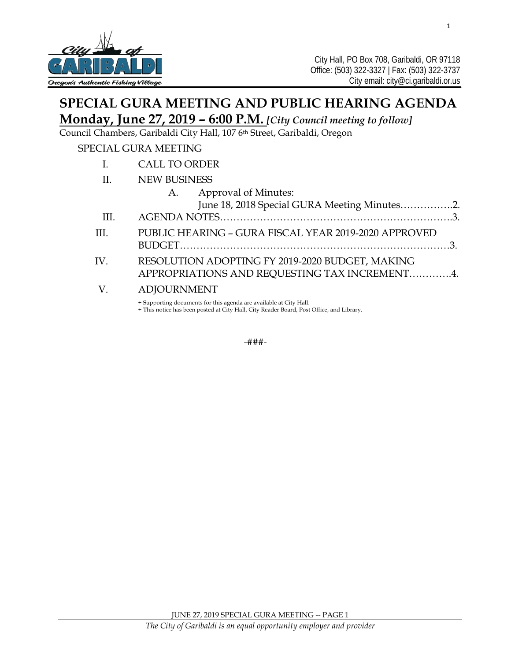

# **SPECIAL GURA MEETING AND PUBLIC HEARING AGENDA**

# **Monday, June 27, 2019 – 6:00 P.M.** *[City Council meeting to follow]*

Council Chambers, Garibaldi City Hall, 107 6th Street, Garibaldi, Oregon

### SPECIAL GURA MEETING

- I. CALL TO ORDER
- II. NEW BUSINESS

|                               | A. Approval of Minutes:                                                                                                                                                                                 |  |
|-------------------------------|---------------------------------------------------------------------------------------------------------------------------------------------------------------------------------------------------------|--|
|                               | June 18, 2018 Special GURA Meeting Minutes2.                                                                                                                                                            |  |
| $\overline{\phantom{0}}$ III. |                                                                                                                                                                                                         |  |
| III.                          | PUBLIC HEARING - GURA FISCAL YEAR 2019-2020 APPROVED                                                                                                                                                    |  |
| IV.                           | RESOLUTION ADOPTING FY 2019-2020 BUDGET, MAKING<br>APPROPRIATIONS AND REQUESTING TAX INCREMENT4.                                                                                                        |  |
|                               | V. ADJOURNMENT<br>$\mathcal{L}(\mathcal{O})$ and $\mathcal{O}(\mathcal{O})$ and $\mathcal{O}(\mathcal{O})$ and $\mathcal{O}(\mathcal{O})$ and $\mathcal{O}(\mathcal{O})$ and $\mathcal{O}(\mathcal{O})$ |  |

+ Supporting documents for this agenda are available at City Hall.

+ This notice has been posted at City Hall, City Reader Board, Post Office, and Library.

-###-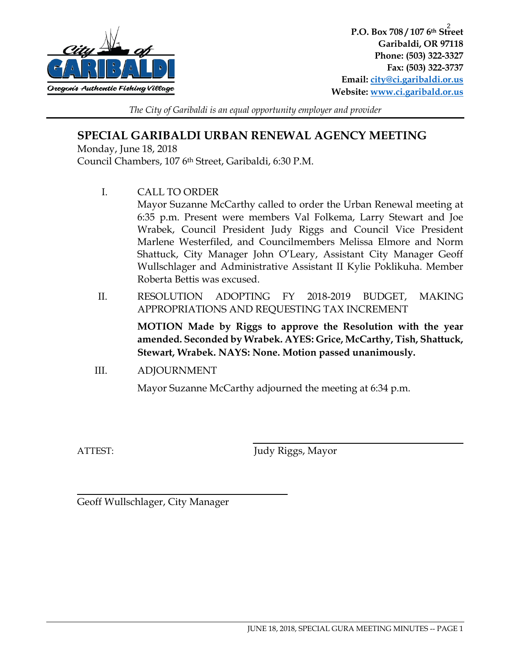

**P.O. Box 708 / 107 6th Street**  2**Garibaldi, OR 97118 Phone: (503) 322-3327 Fax: (503) 322-3737 Email: [city@ci.garibaldi.or.us](mailto:city@ci.garibaldi.or.us) Website: [www.ci.garibald.or.us](http://www.ci.garibald.or.us/)**

 $\overline{a}$ 

*The City of Garibaldi is an equal opportunity employer and provider*

## **SPECIAL GARIBALDI URBAN RENEWAL AGENCY MEETING**

Monday, June 18, 2018 Council Chambers, 107 6th Street, Garibaldi, 6:30 P.M.

I. CALL TO ORDER

Mayor Suzanne McCarthy called to order the Urban Renewal meeting at 6:35 p.m. Present were members Val Folkema, Larry Stewart and Joe Wrabek, Council President Judy Riggs and Council Vice President Marlene Westerfiled, and Councilmembers Melissa Elmore and Norm Shattuck, City Manager John O'Leary, Assistant City Manager Geoff Wullschlager and Administrative Assistant II Kylie Poklikuha. Member Roberta Bettis was excused.

II. RESOLUTION ADOPTING FY 2018-2019 BUDGET, MAKING APPROPRIATIONS AND REQUESTING TAX INCREMENT

> **MOTION Made by Riggs to approve the Resolution with the year amended. Seconded by Wrabek. AYES: Grice, McCarthy, Tish, Shattuck, Stewart, Wrabek. NAYS: None. Motion passed unanimously.**

III. ADJOURNMENT

Mayor Suzanne McCarthy adjourned the meeting at 6:34 p.m.

 $\overline{a}$ 

ATTEST: Judy Riggs, Mayor

Geoff Wullschlager, City Manager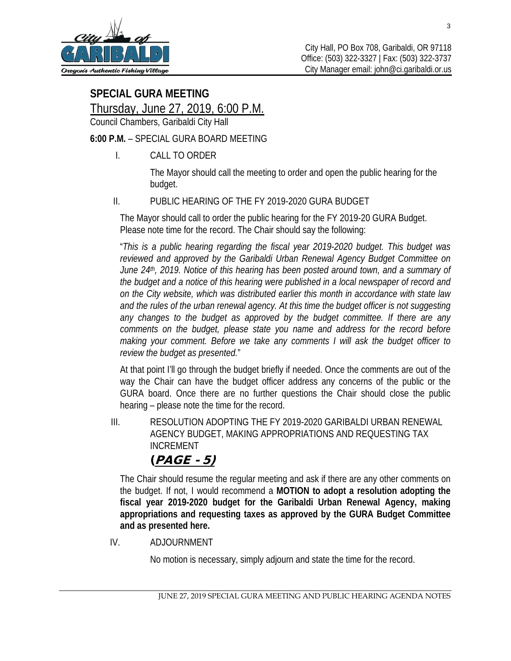

# **SPECIAL GURA MEETING**

Thursday, June 27, 2019, 6:00 P.M.

Council Chambers, Garibaldi City Hall

## **6:00 P.M.** – SPECIAL GURA BOARD MEETING

I. CALL TO ORDER

The Mayor should call the meeting to order and open the public hearing for the budget.

## II. PUBLIC HEARING OF THE FY 2019-2020 GURA BUDGET

The Mayor should call to order the public hearing for the FY 2019-20 GURA Budget. Please note time for the record. The Chair should say the following:

"*This is a public hearing regarding the fiscal year 2019-2020 budget. This budget was reviewed and approved by the Garibaldi Urban Renewal Agency Budget Committee on June 24th, 2019. Notice of this hearing has been posted around town, and a summary of the budget and a notice of this hearing were published in a local newspaper of record and on the City website, which was distributed earlier this month in accordance with state law*  and the rules of the urban renewal agency. At this time the budget officer is not suggesting *any changes to the budget as approved by the budget committee. If there are any comments on the budget, please state you name and address for the record before making your comment. Before we take any comments I will ask the budget officer to review the budget as presented.*"

At that point I'll go through the budget briefly if needed. Once the comments are out of the way the Chair can have the budget officer address any concerns of the public or the GURA board. Once there are no further questions the Chair should close the public hearing – please note the time for the record.

III. RESOLUTION ADOPTING THE FY 2019-2020 GARIBALDI URBAN RENEWAL AGENCY BUDGET, MAKING APPROPRIATIONS AND REQUESTING TAX INCREMENT

## (PAGE - 5)

The Chair should resume the regular meeting and ask if there are any other comments on the budget. If not, I would recommend a **MOTION to adopt a resolution adopting the fiscal year 2019-2020 budget for the Garibaldi Urban Renewal Agency, making appropriations and requesting taxes as approved by the GURA Budget Committee and as presented here.** 

IV. ADJOURNMENT

No motion is necessary, simply adjourn and state the time for the record.